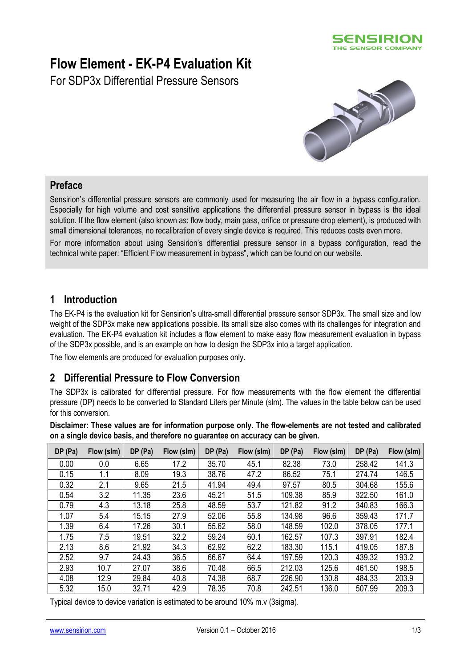

# **Flow Element - EK-P4 Evaluation Kit**

For SDP3x Differential Pressure Sensors



#### **Preface**

Sensirion's differential pressure sensors are commonly used for measuring the air flow in a bypass configuration. Especially for high volume and cost sensitive applications the differential pressure sensor in bypass is the ideal solution. If the flow element (also known as: flow body, main pass, orifice or pressure drop element), is produced with small dimensional tolerances, no recalibration of every single device is required. This reduces costs even more.

For more information about using Sensirion's differential pressure sensor in a bypass configuration, read the technical white paper: "Efficient Flow measurement in bypass", which can be found on our website.

#### **1 Introduction**

The EK-P4 is the evaluation kit for Sensirion's ultra-small differential pressure sensor SDP3x. The small size and low weight of the SDP3x make new applications possible. Its small size also comes with its challenges for integration and evaluation. The EK-P4 evaluation kit includes a flow element to make easy flow measurement evaluation in bypass of the SDP3x possible, and is an example on how to design the SDP3x into a target application.

The flow elements are produced for evaluation purposes only.

## **2 Differential Pressure to Flow Conversion**

The SDP3x is calibrated for differential pressure. For flow measurements with the flow element the differential pressure (DP) needs to be converted to Standard Liters per Minute (slm). The values in the table below can be used for this conversion.

**Disclaimer: These values are for information purpose only. The flow-elements are not tested and calibrated on a single device basis, and therefore no guarantee on accuracy can be given.**

| DP (Pa) | Flow (slm) | DP (Pa) | Flow (slm) | DP (Pa) | Flow (slm) | DP (Pa) | Flow (slm) | DP(Pa) | Flow (slm) |
|---------|------------|---------|------------|---------|------------|---------|------------|--------|------------|
| 0.00    | 0.0        | 6.65    | 17.2       | 35.70   | 45.1       | 82.38   | 73.0       | 258.42 | 141.3      |
| 0.15    | 1.1        | 8.09    | 19.3       | 38.76   | 47.2       | 86.52   | 75.1       | 274.74 | 146.5      |
| 0.32    | 2.1        | 9.65    | 21.5       | 41.94   | 49.4       | 97.57   | 80.5       | 304.68 | 155.6      |
| 0.54    | 3.2        | 11.35   | 23.6       | 45.21   | 51.5       | 109.38  | 85.9       | 322.50 | 161.0      |
| 0.79    | 4.3        | 13.18   | 25.8       | 48.59   | 53.7       | 121.82  | 91.2       | 340.83 | 166.3      |
| 1.07    | 5.4        | 15.15   | 27.9       | 52.06   | 55.8       | 134.98  | 96.6       | 359.43 | 171.7      |
| 1.39    | 6.4        | 17.26   | 30.1       | 55.62   | 58.0       | 148.59  | 102.0      | 378.05 | 177.1      |
| 1.75    | 7.5        | 19.51   | 32.2       | 59.24   | 60.1       | 162.57  | 107.3      | 397.91 | 182.4      |
| 2.13    | 8.6        | 21.92   | 34.3       | 62.92   | 62.2       | 183.30  | 115.1      | 419.05 | 187.8      |
| 2.52    | 9.7        | 24.43   | 36.5       | 66.67   | 64.4       | 197.59  | 120.3      | 439.32 | 193.2      |
| 2.93    | 10.7       | 27.07   | 38.6       | 70.48   | 66.5       | 212.03  | 125.6      | 461.50 | 198.5      |
| 4.08    | 12.9       | 29.84   | 40.8       | 74.38   | 68.7       | 226.90  | 130.8      | 484.33 | 203.9      |
| 5.32    | 15.0       | 32.71   | 42.9       | 78.35   | 70.8       | 242.51  | 136.0      | 507.99 | 209.3      |

Typical device to device variation is estimated to be around 10% m.v (3sigma).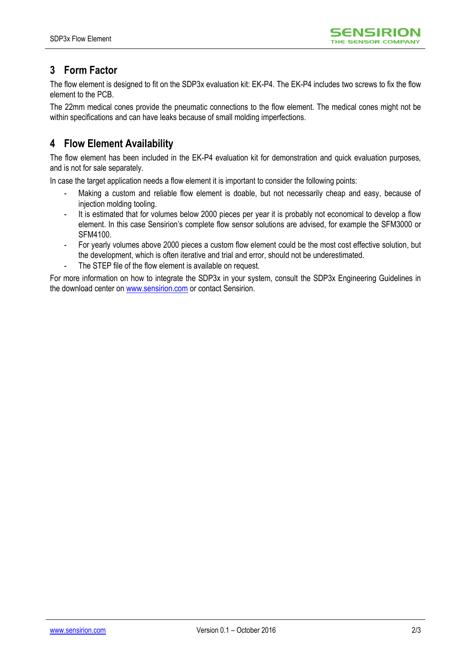

## **3 Form Factor**

The flow element is designed to fit on the SDP3x evaluation kit: EK-P4. The EK-P4 includes two screws to fix the flow element to the PCB.

The 22mm medical cones provide the pneumatic connections to the flow element. The medical cones might not be within specifications and can have leaks because of small molding imperfections.

## **4 Flow Element Availability**

The flow element has been included in the EK-P4 evaluation kit for demonstration and quick evaluation purposes, and is not for sale separately.

In case the target application needs a flow element it is important to consider the following points:

- Making a custom and reliable flow element is doable, but not necessarily cheap and easy, because of injection molding tooling.
- It is estimated that for volumes below 2000 pieces per year it is probably not economical to develop a flow element. In this case Sensirion's complete flow sensor solutions are advised, for example the SFM3000 or SFM4100.
- For yearly volumes above 2000 pieces a custom flow element could be the most cost effective solution, but the development, which is often iterative and trial and error, should not be underestimated.
- The STEP file of the flow element is available on request.

For more information on how to integrate the SDP3x in your system, consult the SDP3x Engineering Guidelines in the download center on [www.sensirion.com](http://www.sensirion.com/) or contact Sensirion.